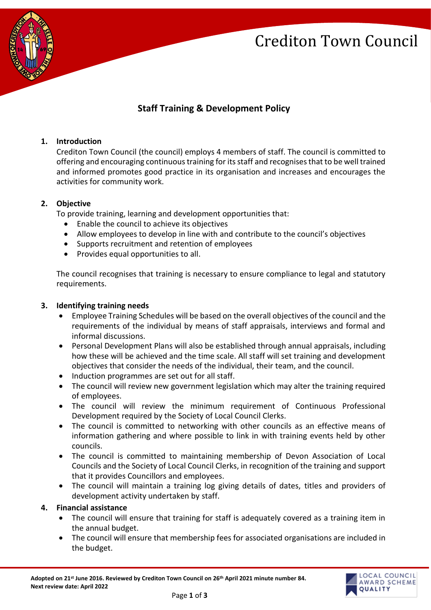## Crediton Town Council



### **Staff Training & Development Policy**

#### **1. Introduction**

Crediton Town Council (the council) employs 4 members of staff. The council is committed to offering and encouraging continuous training for its staff and recognises that to be well trained and informed promotes good practice in its organisation and increases and encourages the activities for community work.

#### **2. Objective**

To provide training, learning and development opportunities that:

- Enable the council to achieve its objectives
- Allow employees to develop in line with and contribute to the council's objectives
- Supports recruitment and retention of employees
- Provides equal opportunities to all.

The council recognises that training is necessary to ensure compliance to legal and statutory requirements.

#### **3. Identifying training needs**

- Employee Training Schedules will be based on the overall objectives of the council and the requirements of the individual by means of staff appraisals, interviews and formal and informal discussions.
- Personal Development Plans will also be established through annual appraisals, including how these will be achieved and the time scale. All staff will set training and development objectives that consider the needs of the individual, their team, and the council.
- Induction programmes are set out for all staff.
- The council will review new government legislation which may alter the training required of employees.
- The council will review the minimum requirement of Continuous Professional Development required by the Society of Local Council Clerks.
- The council is committed to networking with other councils as an effective means of information gathering and where possible to link in with training events held by other councils.
- The council is committed to maintaining membership of Devon Association of Local Councils and the Society of Local Council Clerks, in recognition of the training and support that it provides Councillors and employees.
- The council will maintain a training log giving details of dates, titles and providers of development activity undertaken by staff.

#### **4. Financial assistance**

- The council will ensure that training for staff is adequately covered as a training item in the annual budget.
- The council will ensure that membership fees for associated organisations are included in the budget.

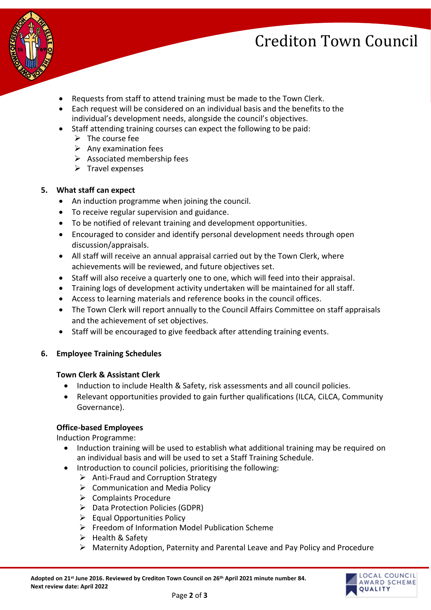# Crediton Town Council



- Requests from staff to attend training must be made to the Town Clerk.
- Each request will be considered on an individual basis and the benefits to the individual's development needs, alongside the council's objectives.
- Staff attending training courses can expect the following to be paid:
	- $\triangleright$  The course fee
	- $\triangleright$  Any examination fees
	- $\triangleright$  Associated membership fees
	- $\triangleright$  Travel expenses

#### **5. What staff can expect**

- An induction programme when joining the council.
- To receive regular supervision and guidance.
- To be notified of relevant training and development opportunities.
- Encouraged to consider and identify personal development needs through open discussion/appraisals.
- All staff will receive an annual appraisal carried out by the Town Clerk, where achievements will be reviewed, and future objectives set.
- Staff will also receive a quarterly one to one, which will feed into their appraisal.
- Training logs of development activity undertaken will be maintained for all staff.
- Access to learning materials and reference books in the council offices.
- The Town Clerk will report annually to the Council Affairs Committee on staff appraisals and the achievement of set objectives.
- Staff will be encouraged to give feedback after attending training events.

### **6. Employee Training Schedules**

#### **Town Clerk & Assistant Clerk**

- Induction to include Health & Safety, risk assessments and all council policies.
- Relevant opportunities provided to gain further qualifications (ILCA, CiLCA, Community Governance).

#### **Office-based Employees**

Induction Programme:

- Induction training will be used to establish what additional training may be required on an individual basis and will be used to set a Staff Training Schedule.
- Introduction to council policies, prioritising the following:
	- ➢ Anti-Fraud and Corruption Strategy
	- ➢ Communication and Media Policy
	- ➢ Complaints Procedure
	- ➢ Data Protection Policies (GDPR)
	- ➢ Equal Opportunities Policy
	- ➢ Freedom of Information Model Publication Scheme
	- ➢ Health & Safety
	- ➢ Maternity Adoption, Paternity and Parental Leave and Pay Policy and Procedure